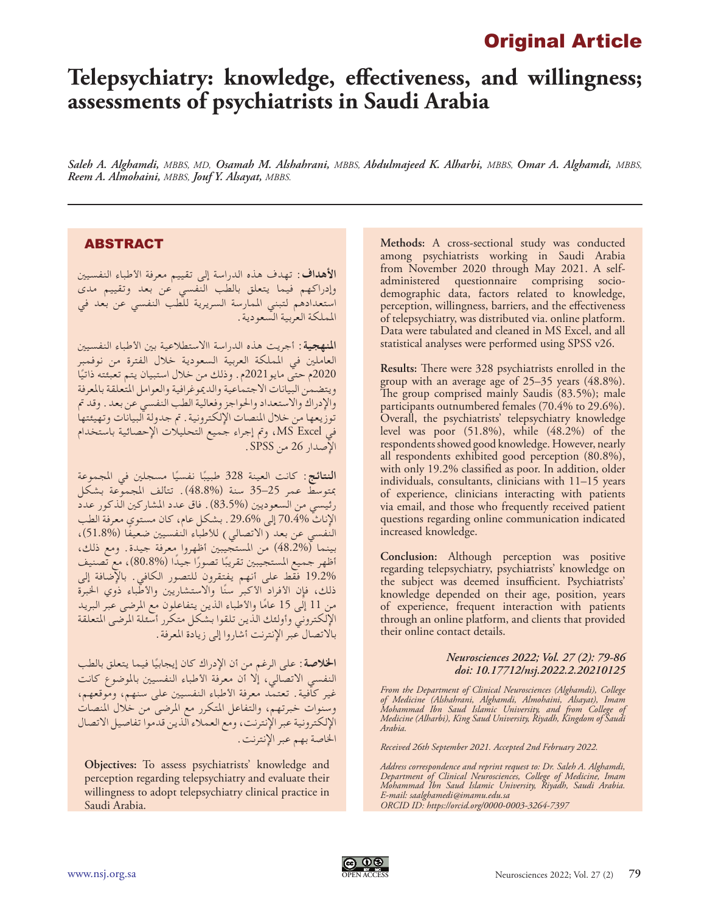## Original Article

# **Telepsychiatry: knowledge, effectiveness, and willingness; assessments of psychiatrists in Saudi Arabia**

*Saleh A. Alghamdi, MBBS, MD, Osamah M. Alshahrani, MBBS, Abdulmajeed K. Alharbi, MBBS, Omar A. Alghamdi, MBBS, Reem A. Almohaini, MBBS, Jouf Y. Alsayat, MBBS.*

## ABSTRACT

**األهداف:** تهدف هذه الدراسة إلى تقييم معرفة األطباء النفسيني وإدراكهم فيما يتعلق بالطب النفسي عن بعد وتقييم مدى استعدادهم لتبني املمارسة السريرية للطب النفسي عن بعد في اململكة العربية السعودية.

**املنهجية:** أجريت هذه الدراسة ااالستطالعية بني األطباء النفسيني العاملني في اململكة العربية السعودية خالل الفترة من نوفمبر 2020م حتى مايو2021م. وذلك من خلال استبيان يتم تعبئته ذاتيًا<br>السابق العامل ويتضمن البيانات االجتماعية والدميوغرافية والعوامل املتعلقة باملعرفة واإلدراك واالستعداد واحلواجز وفعالية الطب النفسي عن بعد. وقد مت توزيعها من خالل املنصات اإللكترونية. مت جدولة البيانات وتهيئتها في Excel MS، ومت إجراء جميع التحليالت اإلحصائية باستخدام اإلصدار 26 من SPSS.

ا**لنتائج**: كانت العينة 328 طبيبًا نفسيًا مسجلين في المجموعة<br>مصطلح علم علم عليه من *أن هو موارد الم*ن مبتوسط عمر 25–35 سنة )48.8%(. تتألف املجموعة بشكل رئيسي من السعوديين (%83.5) . فاق عدد المشاركين الّذكور عدد الْإِناث 70.4% إلى 29.6%. بشكل عام، كان مستوى معرفة الطب<br>النفسي عن بعد (الاتصالي) للأطباء النفسيين ضعيفًا (%51.8)، سمسي في حتى بينما )<br>بينما (48.2%) من المستجيبين أظهروا معرفة جيدة. ومع ذلك، اظهر جميع المستجيبين تقريبًا تصورًا جيدًا (%80.8)، مع تصنيف<br>18.884 مع المستجيبين تقريبًا 19.2% فقط على أنهم يفتقرون للتصور الكافي. باإلضافة إلى ذلك، فإِن الأفراد ٍالأكبرُ سنًا والاستشاريين والأطباء ذوي الخبرة من 11 إلى 15 عامًا والأطباء الذين يتفاعلون مع المرضى عبر البريد<br>من 1 اإللكتروني وأولئك الذين تلقوا بشكل متكرر أسئلة املرضى املتعلقة باالتصال عبر اإلنترنت أشاروا إلى زيادة املعرفة.

ًا فيما يتعلق بالطب **اخلالصة:** على الرغم من أن اإلدراك كان إيجابي النفسي الاتصالي، إلا أن معرفة الأطباء النفسيين بالموضوع كانت غير كافية. تعتمد معرفة األطباء النفسيني على سنهم، وموقعهم، وسنوات خبرتهم، والتفاعل املتكرر مع املرضى من خالل املنصات اإللكترونية عبر اإلنترنت، ومع العمالء الذين قدموا تفاصيل االتصال اخلاصة بهم عبر اإلنترنت.

**Objectives:** To assess psychiatrists' knowledge and perception regarding telepsychiatry and evaluate their willingness to adopt telepsychiatry clinical practice in Saudi Arabia.

**Methods:** A cross-sectional study was conducted among psychiatrists working in Saudi Arabia from November 2020 through May 2021. A selfadministered questionnaire comprising sociodemographic data, factors related to knowledge, perception, willingness, barriers, and the effectiveness of telepsychiatry, was distributed via. online platform. Data were tabulated and cleaned in MS Excel, and all statistical analyses were performed using SPSS v26.

**Results:** There were 328 psychiatrists enrolled in the group with an average age of 25–35 years (48.8%). The group comprised mainly Saudis (83.5%); male participants outnumbered females (70.4% to 29.6%). Overall, the psychiatrists' telepsychiatry knowledge level was poor (51.8%), while (48.2%) of the respondents showed good knowledge. However, nearly all respondents exhibited good perception (80.8%), with only 19.2% classified as poor. In addition, older individuals, consultants, clinicians with 11–15 years of experience, clinicians interacting with patients via email, and those who frequently received patient questions regarding online communication indicated increased knowledge.

**Conclusion:** Although perception was positive regarding telepsychiatry, psychiatrists' knowledge on the subject was deemed insufficient. Psychiatrists' knowledge depended on their age, position, years of experience, frequent interaction with patients through an online platform, and clients that provided their online contact details.

#### *Neurosciences 2022; Vol. 27 (2): 79-86 doi: 10.17712/nsj.2022.2.20210125*

*From the Department of Clinical Neurosciences (Alghamdi), College of Medicine (Alshahrani, Alghamdi, Almohaini, Alsayat), Imam Mohammad Ibn Saud Islamic University, and from College of Medicine (Alharbi), King Saud University, Riyadh, Kingdom of Saudi Arabia.*

*Received 26th September 2021. Accepted 2nd February 2022.*

*Address correspondence and reprint request to: Dr. Saleh A. Alghamdi, Department of Clinical Neurosciences, College of Medicine, Imam Mohammad Ibn Saud Islamic University, Riyadh, Saudi Arabia. E-mail: saalghamedi@imamu.edu.sa ORCID ID: https://orcid.org/0000-0003-3264-7397*

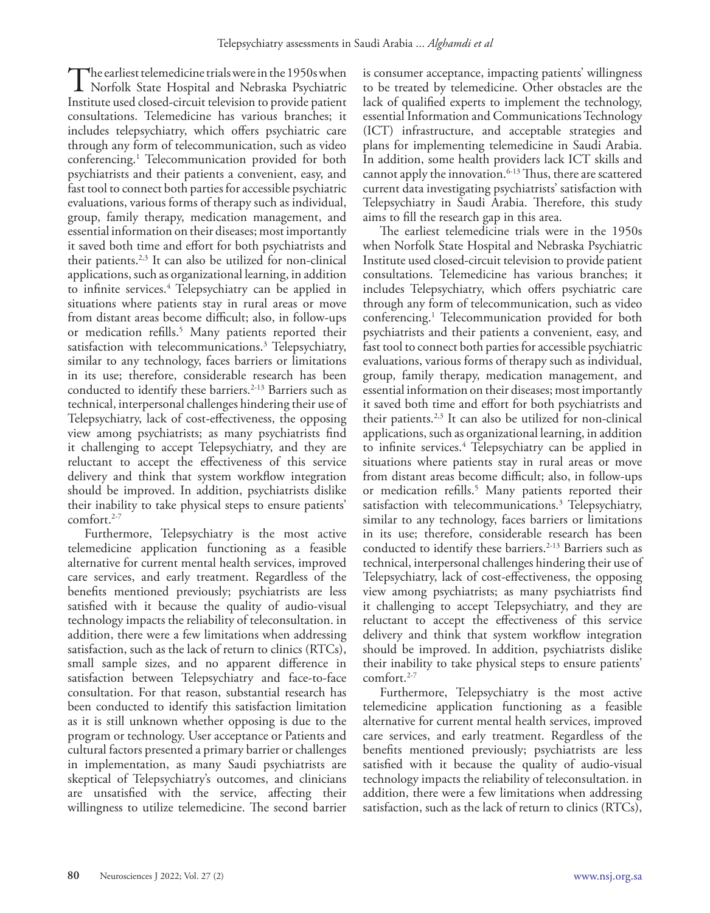The earliest telemedicine trials were in the 1950s when<br>Norfolk State Hospital and Nebraska Psychiatric<br>Institute used elecad circuit television to previde posient Institute used closed-circuit television to provide patient consultations. Telemedicine has various branches; it includes telepsychiatry, which offers psychiatric care through any form of telecommunication, such as video conferencing.1 Telecommunication provided for both psychiatrists and their patients a convenient, easy, and fast tool to connect both parties for accessible psychiatric evaluations, various forms of therapy such as individual, group, family therapy, medication management, and essential information on their diseases; most importantly it saved both time and effort for both psychiatrists and their patients. $2,3$  It can also be utilized for non-clinical applications, such as organizational learning, in addition to infinite services.4 Telepsychiatry can be applied in situations where patients stay in rural areas or move from distant areas become difficult; also, in follow-ups or medication refills.<sup>5</sup> Many patients reported their satisfaction with telecommunications.3 Telepsychiatry, similar to any technology, faces barriers or limitations in its use; therefore, considerable research has been conducted to identify these barriers.<sup>2-13</sup> Barriers such as technical, interpersonal challenges hindering their use of Telepsychiatry, lack of cost-effectiveness, the opposing view among psychiatrists; as many psychiatrists find it challenging to accept Telepsychiatry, and they are reluctant to accept the effectiveness of this service delivery and think that system workflow integration should be improved. In addition, psychiatrists dislike their inability to take physical steps to ensure patients' comfort.<sup>2-7</sup>

Furthermore, Telepsychiatry is the most active telemedicine application functioning as a feasible alternative for current mental health services, improved care services, and early treatment. Regardless of the benefits mentioned previously; psychiatrists are less satisfied with it because the quality of audio-visual technology impacts the reliability of teleconsultation. in addition, there were a few limitations when addressing satisfaction, such as the lack of return to clinics (RTCs), small sample sizes, and no apparent difference in satisfaction between Telepsychiatry and face-to-face consultation. For that reason, substantial research has been conducted to identify this satisfaction limitation as it is still unknown whether opposing is due to the program or technology. User acceptance or Patients and cultural factors presented a primary barrier or challenges in implementation, as many Saudi psychiatrists are skeptical of Telepsychiatry's outcomes, and clinicians are unsatisfied with the service, affecting their willingness to utilize telemedicine. The second barrier

is consumer acceptance, impacting patients' willingness to be treated by telemedicine. Other obstacles are the lack of qualified experts to implement the technology, essential Information and Communications Technology (ICT) infrastructure, and acceptable strategies and plans for implementing telemedicine in Saudi Arabia. In addition, some health providers lack ICT skills and cannot apply the innovation.<sup>6-13</sup> Thus, there are scattered current data investigating psychiatrists' satisfaction with Telepsychiatry in Saudi Arabia. Therefore, this study aims to fill the research gap in this area.

The earliest telemedicine trials were in the 1950s when Norfolk State Hospital and Nebraska Psychiatric Institute used closed-circuit television to provide patient consultations. Telemedicine has various branches; it includes Telepsychiatry, which offers psychiatric care through any form of telecommunication, such as video conferencing.1 Telecommunication provided for both psychiatrists and their patients a convenient, easy, and fast tool to connect both parties for accessible psychiatric evaluations, various forms of therapy such as individual, group, family therapy, medication management, and essential information on their diseases; most importantly it saved both time and effort for both psychiatrists and their patients.2,3 It can also be utilized for non-clinical applications, such as organizational learning, in addition to infinite services.<sup>4</sup> Telepsychiatry can be applied in situations where patients stay in rural areas or move from distant areas become difficult; also, in follow-ups or medication refills.<sup>5</sup> Many patients reported their satisfaction with telecommunications.<sup>3</sup> Telepsychiatry, similar to any technology, faces barriers or limitations in its use; therefore, considerable research has been conducted to identify these barriers.<sup>2-13</sup> Barriers such as technical, interpersonal challenges hindering their use of Telepsychiatry, lack of cost-effectiveness, the opposing view among psychiatrists; as many psychiatrists find it challenging to accept Telepsychiatry, and they are reluctant to accept the effectiveness of this service delivery and think that system workflow integration should be improved. In addition, psychiatrists dislike their inability to take physical steps to ensure patients' comfort.<sup>2-7</sup>

Furthermore, Telepsychiatry is the most active telemedicine application functioning as a feasible alternative for current mental health services, improved care services, and early treatment. Regardless of the benefits mentioned previously; psychiatrists are less satisfied with it because the quality of audio-visual technology impacts the reliability of teleconsultation. in addition, there were a few limitations when addressing satisfaction, such as the lack of return to clinics (RTCs),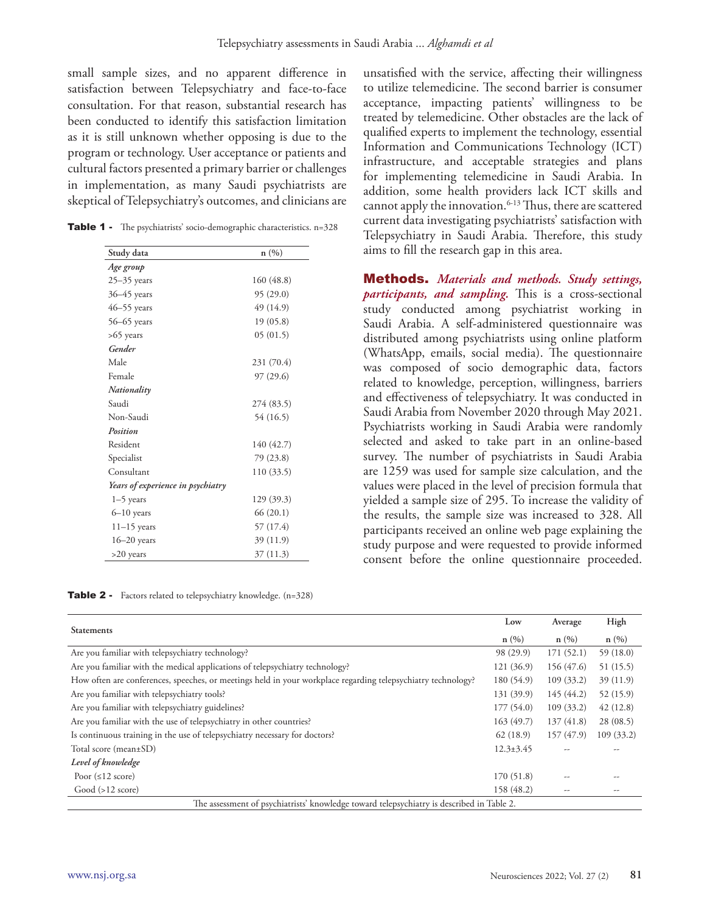small sample sizes, and no apparent difference in satisfaction between Telepsychiatry and face-to-face consultation. For that reason, substantial research has been conducted to identify this satisfaction limitation as it is still unknown whether opposing is due to the program or technology. User acceptance or patients and cultural factors presented a primary barrier or challenges in implementation, as many Saudi psychiatrists are skeptical of Telepsychiatry's outcomes, and clinicians are

Table 1 - The psychiatrists' socio-demographic characteristics. n=328

| Study data                        | n(%)       |
|-----------------------------------|------------|
| Age group                         |            |
| $25 - 35$ years                   | 160 (48.8) |
| $36 - 45$ years                   | 95(29.0)   |
| $46 - 55$ years                   | 49 (14.9)  |
| $56 - 65$ years                   | 19(05.8)   |
| $>65$ years                       | 05(01.5)   |
| Gender                            |            |
| Male                              | 231 (70.4) |
| Female                            | 97 (29.6)  |
| Nationality                       |            |
| Saudi                             | 274 (83.5) |
| Non-Saudi                         | 54 (16.5)  |
| Position                          |            |
| Resident                          | 140 (42.7) |
| Specialist                        | 79 (23.8)  |
| Consultant                        | 110(33.5)  |
| Years of experience in psychiatry |            |
| $1-5$ years                       | 129 (39.3) |
| $6 - 10$ years                    | 66(20.1)   |
| $11-15$ years                     | 57 (17.4)  |
| $16 - 20$ years                   | 39 (11.9)  |
| >20 years                         | 37(11.3)   |

Table 2 - Factors related to telepsychiatry knowledge. (n=328)

unsatisfied with the service, affecting their willingness to utilize telemedicine. The second barrier is consumer acceptance, impacting patients' willingness to be treated by telemedicine. Other obstacles are the lack of qualified experts to implement the technology, essential Information and Communications Technology (ICT) infrastructure, and acceptable strategies and plans for implementing telemedicine in Saudi Arabia. In addition, some health providers lack ICT skills and cannot apply the innovation.<sup>6-13</sup> Thus, there are scattered current data investigating psychiatrists' satisfaction with Telepsychiatry in Saudi Arabia. Therefore, this study aims to fill the research gap in this area.

Methods. *Materials and methods. Study settings, participants, and sampling.* This is a cross-sectional study conducted among psychiatrist working in Saudi Arabia. A self-administered questionnaire was distributed among psychiatrists using online platform (WhatsApp, emails, social media). The questionnaire was composed of socio demographic data, factors related to knowledge, perception, willingness, barriers and effectiveness of telepsychiatry. It was conducted in Saudi Arabia from November 2020 through May 2021. Psychiatrists working in Saudi Arabia were randomly selected and asked to take part in an online-based survey. The number of psychiatrists in Saudi Arabia are 1259 was used for sample size calculation, and the values were placed in the level of precision formula that yielded a sample size of 295. To increase the validity of the results, the sample size was increased to 328. All participants received an online web page explaining the study purpose and were requested to provide informed consent before the online questionnaire proceeded.

|                                                                                                              |                 | Average                  | High      |  |  |  |  |
|--------------------------------------------------------------------------------------------------------------|-----------------|--------------------------|-----------|--|--|--|--|
| <b>Statements</b>                                                                                            | n(%)            | n(%)                     | n(%)      |  |  |  |  |
| Are you familiar with telepsychiatry technology?                                                             | 98 (29.9)       | 171(52.1)                | 59(18.0)  |  |  |  |  |
| Are you familiar with the medical applications of telepsychiatry technology?                                 | 121 (36.9)      | 156 (47.6)               | 51 (15.5) |  |  |  |  |
| How often are conferences, speeches, or meetings held in your workplace regarding telepsychiatry technology? | 180 (54.9)      | 109(33.2)                | 39(11.9)  |  |  |  |  |
| Are you familiar with telepsychiatry tools?                                                                  | 131 (39.9)      | 145 (44.2)               | 52(15.9)  |  |  |  |  |
| Are you familiar with telepsychiatry guidelines?                                                             | 177(54.0)       | 109(33.2)                | 42(12.8)  |  |  |  |  |
| Are you familiar with the use of telepsychiatry in other countries?                                          | 163(49.7)       | 137(41.8)                | 28(08.5)  |  |  |  |  |
| Is continuous training in the use of telepsychiatry necessary for doctors?                                   | 62(18.9)        | 157 (47.9)               | 109(33.2) |  |  |  |  |
| Total score (mean±SD)                                                                                        | $12.3 \pm 3.45$ |                          |           |  |  |  |  |
| Level of knowledge                                                                                           |                 |                          |           |  |  |  |  |
| Poor $(≤12$ score)                                                                                           | 170(51.8)       |                          |           |  |  |  |  |
| Good ( >12 score)                                                                                            | 158 (48.2)      | $\overline{\phantom{m}}$ | --        |  |  |  |  |
| The assessment of psychiatrists' knowledge toward telepsychiatry is described in Table 2.                    |                 |                          |           |  |  |  |  |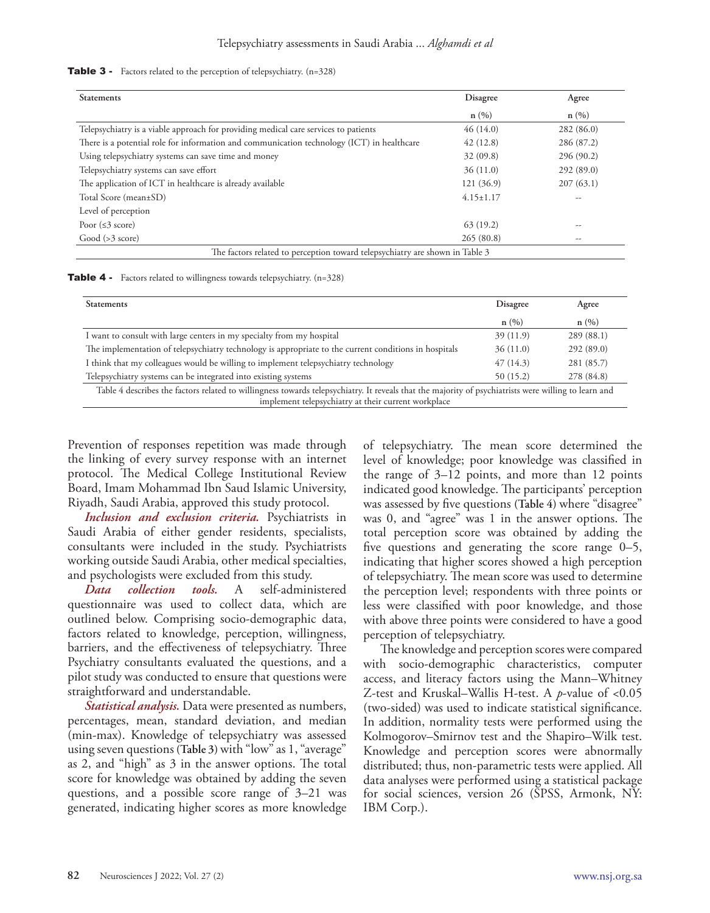#### **Table 3** - Factors related to the perception of telepsychiatry.  $(n=328)$

| <b>Statements</b>                                                                          | Disagree        | Agree      |  |
|--------------------------------------------------------------------------------------------|-----------------|------------|--|
|                                                                                            | n(%)            | n(%)       |  |
| Telepsychiatry is a viable approach for providing medical care services to patients        | 46(14.0)        | 282 (86.0) |  |
| There is a potential role for information and communication technology (ICT) in healthcare | 42(12.8)        | 286 (87.2) |  |
| Using telepsychiatry systems can save time and money                                       | 32(09.8)        | 296 (90.2) |  |
| Telepsychiatry systems can save effort                                                     | 36(11.0)        | 292(89.0)  |  |
| The application of ICT in healthcare is already available                                  | 121 (36.9)      | 207(63.1)  |  |
| Total Score (mean±SD)                                                                      | $4.15 \pm 1.17$ | --         |  |
| Level of perception                                                                        |                 |            |  |
| Poor $(\leq 3 \text{ score})$                                                              | 63(19.2)        | --         |  |
| Good ( > 3 score)                                                                          | 265(80.8)       | --         |  |
| The factors related to perception toward telepsychiatry are shown in Table 3               |                 |            |  |

|  |  | <b>Table 4</b> - Factors related to willingness towards telepsychiatry. (n=328) |  |  |
|--|--|---------------------------------------------------------------------------------|--|--|
|--|--|---------------------------------------------------------------------------------|--|--|

| <b>Statements</b>                                                                                                                                    | Disagree | Agree      |  |  |  |  |  |
|------------------------------------------------------------------------------------------------------------------------------------------------------|----------|------------|--|--|--|--|--|
|                                                                                                                                                      | n(%)     | n(%)       |  |  |  |  |  |
| I want to consult with large centers in my specialty from my hospital                                                                                | 39(11.9) | 289 (88.1) |  |  |  |  |  |
| The implementation of telepsychiatry technology is appropriate to the current conditions in hospitals                                                | 36(11.0) | 292(89.0)  |  |  |  |  |  |
| I think that my colleagues would be willing to implement telepsychiatry technology                                                                   | 47(14.3) | 281 (85.7) |  |  |  |  |  |
| Telepsychiatry systems can be integrated into existing systems                                                                                       | 50(15.2) | 278 (84.8) |  |  |  |  |  |
| Table 4 describes the factors related to willingness towards telepsychiatry. It reveals that the majority of psychiatrists were willing to learn and |          |            |  |  |  |  |  |
| implement telepsychiatry at their current workplace                                                                                                  |          |            |  |  |  |  |  |

Prevention of responses repetition was made through the linking of every survey response with an internet protocol. The Medical College Institutional Review Board, Imam Mohammad Ibn Saud Islamic University, Riyadh, Saudi Arabia, approved this study protocol.

*Inclusion and exclusion criteria.* Psychiatrists in Saudi Arabia of either gender residents, specialists, consultants were included in the study. Psychiatrists working outside Saudi Arabia, other medical specialties, and psychologists were excluded from this study.

*Data collection tools.* A self-administered questionnaire was used to collect data, which are outlined below. Comprising socio-demographic data, factors related to knowledge, perception, willingness, barriers, and the effectiveness of telepsychiatry. Three Psychiatry consultants evaluated the questions, and a pilot study was conducted to ensure that questions were straightforward and understandable.

*Statistical analysis.* Data were presented as numbers, percentages, mean, standard deviation, and median (min-max). Knowledge of telepsychiatry was assessed using seven questions **(Table 3)** with "low" as 1, "average" as 2, and "high" as 3 in the answer options. The total score for knowledge was obtained by adding the seven questions, and a possible score range of 3–21 was generated, indicating higher scores as more knowledge

of telepsychiatry. The mean score determined the level of knowledge; poor knowledge was classified in the range of 3–12 points, and more than 12 points indicated good knowledge. The participants' perception was assessed by five questions **(Table 4)** where "disagree" was 0, and "agree" was 1 in the answer options. The total perception score was obtained by adding the five questions and generating the score range 0–5, indicating that higher scores showed a high perception of telepsychiatry. The mean score was used to determine the perception level; respondents with three points or less were classified with poor knowledge, and those with above three points were considered to have a good perception of telepsychiatry.

The knowledge and perception scores were compared with socio-demographic characteristics, computer access, and literacy factors using the Mann–Whitney Z-test and Kruskal–Wallis H-test. A *p*-value of <0.05 (two-sided) was used to indicate statistical significance. In addition, normality tests were performed using the Kolmogorov–Smirnov test and the Shapiro–Wilk test. Knowledge and perception scores were abnormally distributed; thus, non-parametric tests were applied. All data analyses were performed using a statistical package for social sciences, version 26 (SPSS, Armonk, NY: IBM Corp.).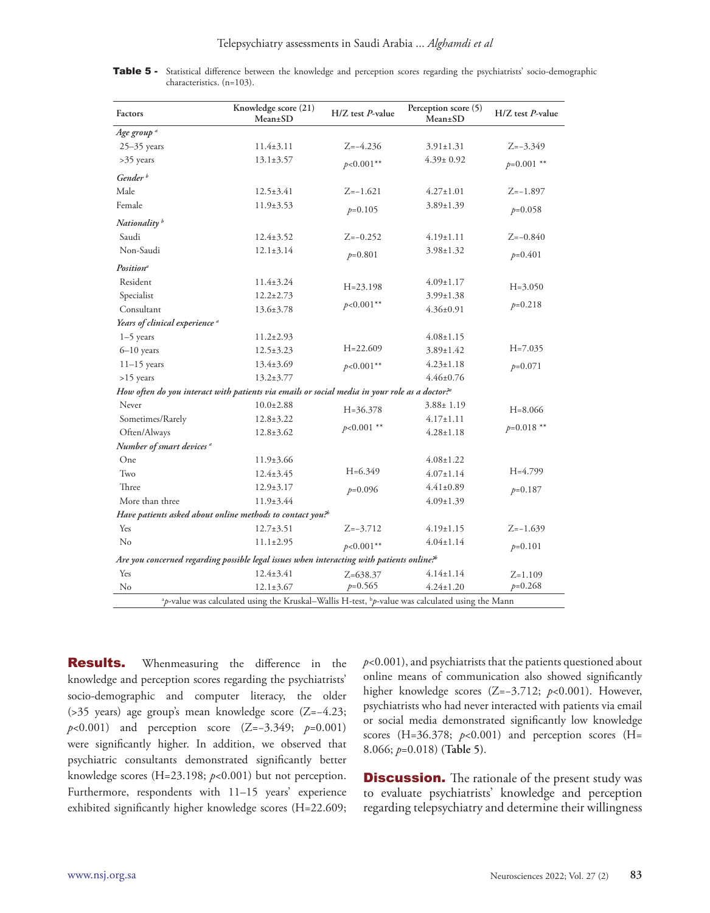| Factors                                   | Knowledge score (21)<br>Mean±SD                                                                                         | $H/Z$ test $P$ -value | Perception score (5)<br>Mean±SD | $H/Z$ test $P$ -value |  |  |
|-------------------------------------------|-------------------------------------------------------------------------------------------------------------------------|-----------------------|---------------------------------|-----------------------|--|--|
| Age group <sup>a</sup>                    |                                                                                                                         |                       |                                 |                       |  |  |
| $25-35$ years                             | $11.4 \pm 3.11$                                                                                                         | $Z=-4.236$            | $3.91 \pm 1.31$                 | $Z=-3.349$            |  |  |
| >35 years                                 | $13.1 \pm 3.57$                                                                                                         | $p<0.001**$           | $4.39 \pm 0.92$                 | $p=0.001$ **          |  |  |
| Gender <sup>b</sup>                       |                                                                                                                         |                       |                                 |                       |  |  |
| Male                                      | $12.5 \pm 3.41$                                                                                                         | $Z=-1.621$            | $4.27 \pm 1.01$                 | $Z=-1.897$            |  |  |
| Female                                    | $11.9 \pm 3.53$                                                                                                         | $p=0.105$             | $3.89 \pm 1.39$                 | $p=0.058$             |  |  |
| Nationality <sup>b</sup>                  |                                                                                                                         |                       |                                 |                       |  |  |
| Saudi                                     | $12.4 \pm 3.52$                                                                                                         | $Z=-0.252$            | $4.19 \pm 1.11$                 | $Z=-0.840$            |  |  |
| Non-Saudi                                 | $12.1 \pm 3.14$                                                                                                         | $p=0.801$             | $3.98 \pm 1.32$                 | $p=0.401$             |  |  |
| <b>Position</b> <sup>a</sup>              |                                                                                                                         |                       |                                 |                       |  |  |
| Resident                                  | $11.4 \pm 3.24$                                                                                                         | $H = 23.198$          | $4.09 \pm 1.17$                 | $H = 3.050$           |  |  |
| Specialist                                | $12.2 \pm 2.73$                                                                                                         |                       | $3.99 \pm 1.38$                 |                       |  |  |
| Consultant                                | $13.6 \pm 3.78$                                                                                                         | $p<0.001**$           | $4.36 \pm 0.91$                 | $p=0.218$             |  |  |
| Years of clinical experience <sup>a</sup> |                                                                                                                         |                       |                                 |                       |  |  |
| $1-5$ years                               | $11.2 \pm 2.93$                                                                                                         |                       | $4.08 \pm 1.15$                 |                       |  |  |
| $6 - 10$ years                            | $12.5 \pm 3.23$                                                                                                         | $H = 22.609$          | $3.89 \pm 1.42$                 | $H = 7.035$           |  |  |
| $11-15$ years                             | $13.4 \pm 3.69$                                                                                                         | $p<0.001**$           | $4.23 \pm 1.18$                 | $p=0.071$             |  |  |
| $>15$ years                               | $13.2 \pm 3.77$                                                                                                         |                       | $4.46 \pm 0.76$                 |                       |  |  |
|                                           | How often do you interact with patients via emails or social media in your role as a doctor?"                           |                       |                                 |                       |  |  |
| Never                                     | $10.0 \pm 2.88$                                                                                                         | $H = 36.378$          | $3.88 \pm 1.19$                 | $H = 8.066$           |  |  |
| Sometimes/Rarely                          | $12.8 \pm 3.22$                                                                                                         |                       | $4.17 \pm 1.11$                 |                       |  |  |
| Often/Always                              | $12.8 \pm 3.62$                                                                                                         | $p<0.001$ **          | $4.28 \pm 1.18$                 | $p=0.018$ **          |  |  |
| Number of smart devices <sup>a</sup>      |                                                                                                                         |                       |                                 |                       |  |  |
| One                                       | $11.9 \pm 3.66$                                                                                                         |                       | $4.08 \pm 1.22$                 |                       |  |  |
| Two                                       | $12.4 \pm 3.45$                                                                                                         | $H = 6.349$           | $4.07 \pm 1.14$                 | $H=4.799$             |  |  |
| Three                                     | $12.9 \pm 3.17$                                                                                                         | $p=0.096$             | $4.41 \pm 0.89$                 | $p=0.187$             |  |  |
| More than three                           | $11.9 \pm 3.44$                                                                                                         |                       | $4.09 \pm 1.39$                 |                       |  |  |
|                                           | Have patients asked about online methods to contact you. <sup>26</sup>                                                  |                       |                                 |                       |  |  |
| Yes                                       | $12.7 \pm 3.51$                                                                                                         | $Z=-3.712$            | $4.19 \pm 1.15$                 | $Z=-1.639$            |  |  |
| No                                        | $11.1 \pm 2.95$                                                                                                         | $p<0.001**$           | $4.04 \pm 1.14$                 | $p=0.101$             |  |  |
|                                           | Are you concerned regarding possible legal issues when interacting with patients online? <sup>6</sup>                   |                       |                                 |                       |  |  |
| Yes                                       | $12.4 \pm 3.41$                                                                                                         | $Z=638.37$            | $4.14 \pm 1.14$                 | $Z=1.109$             |  |  |
| No                                        | $12.1 \pm 3.67$                                                                                                         | $p=0.565$             | $4.24 \pm 1.20$                 | $p=0.268$             |  |  |
|                                           | <sup>a</sup> p-value was calculated using the Kruskal-Wallis H-test, <sup>b</sup> p-value was calculated using the Mann |                       |                                 |                       |  |  |

| Table 5 - Statistical difference between the knowledge and perception scores regarding the psychiatrists' socio-demographic |                              |  |  |  |  |  |  |
|-----------------------------------------------------------------------------------------------------------------------------|------------------------------|--|--|--|--|--|--|
|                                                                                                                             | characteristics. $(n=103)$ . |  |  |  |  |  |  |

**Results.** Whenmeasuring the difference in the knowledge and perception scores regarding the psychiatrists' socio-demographic and computer literacy, the older (>35 years) age group's mean knowledge score (Z=−4.23; *p*<0.001) and perception score (Z=−3.349; *p*=0.001) were significantly higher. In addition, we observed that psychiatric consultants demonstrated significantly better knowledge scores (H=23.198; *p*<0.001) but not perception. Furthermore, respondents with 11–15 years' experience exhibited significantly higher knowledge scores (H=22.609; *p*<0.001), and psychiatrists that the patients questioned about online means of communication also showed significantly higher knowledge scores (Z=−3.712; *p*<0.001). However, psychiatrists who had never interacted with patients via email or social media demonstrated significantly low knowledge scores (H=36.378;  $p<0.001$ ) and perception scores (H= 8.066; *p*=0.018) **(Table 5)**.

**Discussion.** The rationale of the present study was to evaluate psychiatrists' knowledge and perception regarding telepsychiatry and determine their willingness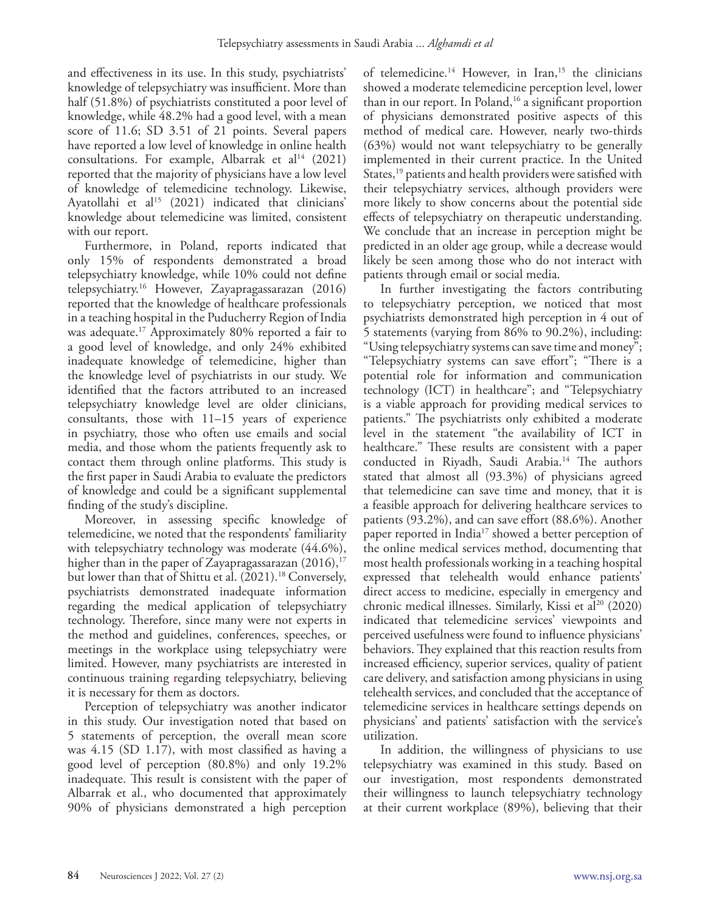and effectiveness in its use. In this study, psychiatrists' knowledge of telepsychiatry was insufficient. More than half (51.8%) of psychiatrists constituted a poor level of knowledge, while 48.2% had a good level, with a mean score of 11.6; SD 3.51 of 21 points. Several papers have reported a low level of knowledge in online health consultations. For example, Albarrak et al<sup>14</sup> (2021) reported that the majority of physicians have a low level of knowledge of telemedicine technology. Likewise, Ayatollahi et al<sup>15</sup> (2021) indicated that clinicians' knowledge about telemedicine was limited, consistent with our report.

Furthermore, in Poland, reports indicated that only 15% of respondents demonstrated a broad telepsychiatry knowledge, while 10% could not define telepsychiatry.16 However, Zayapragassarazan (2016) reported that the knowledge of healthcare professionals in a teaching hospital in the Puducherry Region of India was adequate.17 Approximately 80% reported a fair to a good level of knowledge, and only 24% exhibited inadequate knowledge of telemedicine, higher than the knowledge level of psychiatrists in our study. We identified that the factors attributed to an increased telepsychiatry knowledge level are older clinicians, consultants, those with 11–15 years of experience in psychiatry, those who often use emails and social media, and those whom the patients frequently ask to contact them through online platforms. This study is the first paper in Saudi Arabia to evaluate the predictors of knowledge and could be a significant supplemental finding of the study's discipline.

Moreover, in assessing specific knowledge of telemedicine, we noted that the respondents' familiarity with telepsychiatry technology was moderate  $(44.6\%),$ higher than in the paper of Zayapragassarazan (2016), 17 but lower than that of Shittu et al. (2021). 18 Conversely, psychiatrists demonstrated inadequate information regarding the medical application of telepsychiatry technology. Therefore, since many were not experts in the method and guidelines, conferences, speeches, or meetings in the workplace using telepsychiatry were limited. However, many psychiatrists are interested in continuous training regarding telepsychiatry, believing it is necessary for them as doctors.

Perception of telepsychiatry was another indicator in this study. Our investigation noted that based on 5 statements of perception, the overall mean score was 4.15 (SD 1.17), with most classified as having a good level of perception (80.8%) and only 19.2% inadequate. This result is consistent with the paper of Albarrak et al., who documented that approximately 90% of physicians demonstrated a high perception

of telemedicine.<sup>14</sup> However, in Iran,<sup>15</sup> the clinicians showed a moderate telemedicine perception level, lower than in our report. In Poland, $16$  a significant proportion of physicians demonstrated positive aspects of this method of medical care. However, nearly two-thirds (63%) would not want telepsychiatry to be generally implemented in their current practice. In the United States,<sup>19</sup> patients and health providers were satisfied with their telepsychiatry services, although providers were more likely to show concerns about the potential side effects of telepsychiatry on therapeutic understanding. We conclude that an increase in perception might be predicted in an older age group, while a decrease would likely be seen among those who do not interact with patients through email or social media.

In further investigating the factors contributing to telepsychiatry perception, we noticed that most psychiatrists demonstrated high perception in 4 out of 5 statements (varying from 86% to 90.2%), including: "Using telepsychiatry systems can save time and money"; "Telepsychiatry systems can save effort"; "There is a potential role for information and communication technology (ICT) in healthcare"; and "Telepsychiatry is a viable approach for providing medical services to patients." The psychiatrists only exhibited a moderate level in the statement "the availability of ICT in healthcare." These results are consistent with a paper conducted in Riyadh, Saudi Arabia.<sup>14</sup> The authors stated that almost all (93.3%) of physicians agreed that telemedicine can save time and money, that it is a feasible approach for delivering healthcare services to patients (93.2%), and can save effort (88.6%). Another paper reported in India<sup>17</sup> showed a better perception of the online medical services method, documenting that most health professionals working in a teaching hospital expressed that telehealth would enhance patients' direct access to medicine, especially in emergency and chronic medical illnesses. Similarly, Kissi et al<sup>20</sup> (2020) indicated that telemedicine services' viewpoints and perceived usefulness were found to influence physicians' behaviors. They explained that this reaction results from increased efficiency, superior services, quality of patient care delivery, and satisfaction among physicians in using telehealth services, and concluded that the acceptance of telemedicine services in healthcare settings depends on physicians' and patients' satisfaction with the service's utilization.

In addition, the willingness of physicians to use telepsychiatry was examined in this study. Based on our investigation, most respondents demonstrated their willingness to launch telepsychiatry technology at their current workplace (89%), believing that their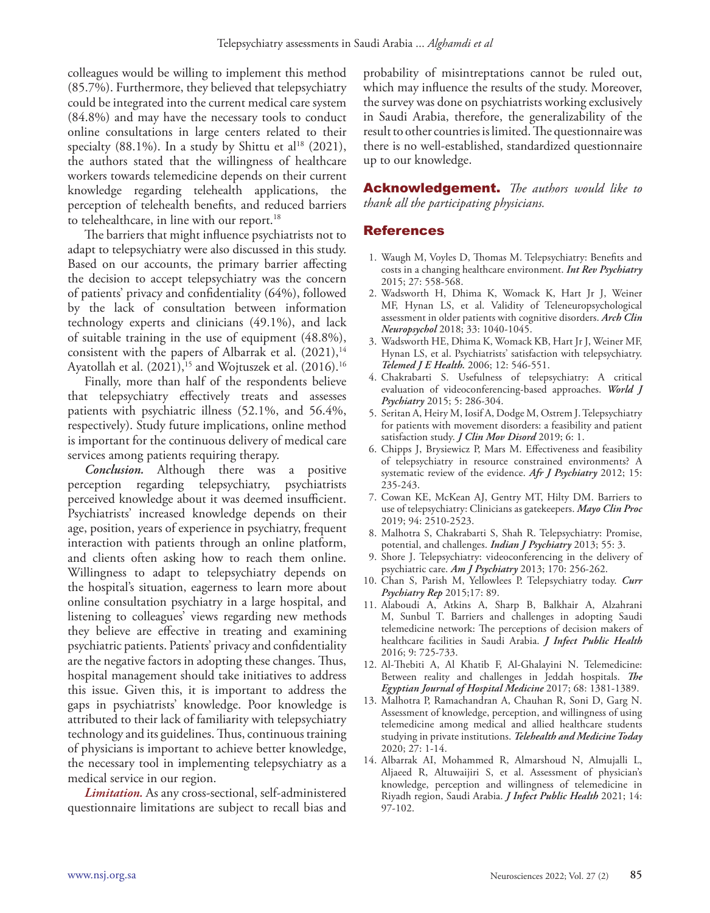colleagues would be willing to implement this method (85.7%). Furthermore, they believed that telepsychiatry could be integrated into the current medical care system (84.8%) and may have the necessary tools to conduct online consultations in large centers related to their specialty (88.1%). In a study by Shittu et al<sup>18</sup> (2021), the authors stated that the willingness of healthcare workers towards telemedicine depends on their current knowledge regarding telehealth applications, the perception of telehealth benefits, and reduced barriers to telehealthcare, in line with our report.<sup>18</sup>

The barriers that might influence psychiatrists not to adapt to telepsychiatry were also discussed in this study. Based on our accounts, the primary barrier affecting the decision to accept telepsychiatry was the concern of patients' privacy and confidentiality (64%), followed by the lack of consultation between information technology experts and clinicians (49.1%), and lack of suitable training in the use of equipment (48.8%), consistent with the papers of Albarrak et al. (2021), 14 Ayatollah et al. (2021), 15 and Wojtuszek et al. (2016). 16

Finally, more than half of the respondents believe that telepsychiatry effectively treats and assesses patients with psychiatric illness (52.1%, and 56.4%, respectively). Study future implications, online method is important for the continuous delivery of medical care services among patients requiring therapy.

*Conclusion.* Although there was a positive perception regarding telepsychiatry, psychiatrists perceived knowledge about it was deemed insufficient. Psychiatrists' increased knowledge depends on their age, position, years of experience in psychiatry, frequent interaction with patients through an online platform, and clients often asking how to reach them online. Willingness to adapt to telepsychiatry depends on the hospital's situation, eagerness to learn more about online consultation psychiatry in a large hospital, and listening to colleagues' views regarding new methods they believe are effective in treating and examining psychiatric patients. Patients' privacy and confidentiality are the negative factors in adopting these changes. Thus, hospital management should take initiatives to address this issue. Given this, it is important to address the gaps in psychiatrists' knowledge. Poor knowledge is attributed to their lack of familiarity with telepsychiatry technology and its guidelines. Thus, continuous training of physicians is important to achieve better knowledge, the necessary tool in implementing telepsychiatry as a medical service in our region.

*Limitation.* As any cross-sectional, self-administered questionnaire limitations are subject to recall bias and probability of misintreptations cannot be ruled out, which may influence the results of the study. Moreover, the survey was done on psychiatrists working exclusively in Saudi Arabia, therefore, the generalizability of the result to other countries is limited. The questionnaire was there is no well-established, standardized questionnaire up to our knowledge.

Acknowledgement. *The authors would like to thank all the participating physicians.*

## References

- 1. Waugh M, Voyles D, Thomas M. Telepsychiatry: Benefits and costs in a changing healthcare environment. *Int Rev Psychiatry*  2015; 27: 558-568.
- 2. Wadsworth H, Dhima K, Womack K, Hart Jr J, Weiner MF, Hynan LS, et al. Validity of Teleneuropsychological assessment in older patients with cognitive disorders. *Arch Clin Neuropsychol* 2018; 33: 1040-1045.
- 3. Wadsworth HE, Dhima K, Womack KB, Hart Jr J, Weiner MF, Hynan LS, et al. Psychiatrists' satisfaction with telepsychiatry. *Telemed J E Health.* 2006; 12: 546-551.
- 4. Chakrabarti S. Usefulness of telepsychiatry: A critical evaluation of videoconferencing-based approaches. *World J Psychiatry* 2015; 5: 286-304.
- 5. Seritan A, Heiry M, Iosif A, Dodge M, Ostrem J. Telepsychiatry for patients with movement disorders: a feasibility and patient satisfaction study. *J Clin Mov Disord* 2019; 6: 1.
- 6. Chipps J, Brysiewicz P, Mars M. Effectiveness and feasibility of telepsychiatry in resource constrained environments? A systematic review of the evidence. *Afr J Psychiatry* 2012; 15: 235-243.
- 7. Cowan KE, McKean AJ, Gentry MT, Hilty DM. Barriers to use of telepsychiatry: Clinicians as gatekeepers. *Mayo Clin Proc*  2019; 94: 2510-2523.
- 8. Malhotra S, Chakrabarti S, Shah R. Telepsychiatry: Promise, potential, and challenges. *Indian J Psychiatry* 2013; 55: 3.
- 9. Shore J. Telepsychiatry: videoconferencing in the delivery of psychiatric care. *Am J Psychiatry* 2013; 170: 256-262.
- 10. Chan S, Parish M, Yellowlees P. Telepsychiatry today. *Curr Psychiatry Rep* 2015;17: 89.
- 11. Alaboudi A, Atkins A, Sharp B, Balkhair A, Alzahrani M, Sunbul T. Barriers and challenges in adopting Saudi telemedicine network: The perceptions of decision makers of healthcare facilities in Saudi Arabia. *J Infect Public Health* 2016; 9: 725-733.
- 12. Al-Thebiti A, Al Khatib F, Al-Ghalayini N. Telemedicine: Between reality and challenges in Jeddah hospitals. *The Egyptian Journal of Hospital Medicine* 2017; 68: 1381-1389.
- 13. Malhotra P, Ramachandran A, Chauhan R, Soni D, Garg N. Assessment of knowledge, perception, and willingness of using telemedicine among medical and allied healthcare students studying in private institutions. *Telehealth and Medicine Today* 2020; 27: 1-14.
- 14. Albarrak AI, Mohammed R, Almarshoud N, Almujalli L, Aljaeed R, Altuwaijiri S, et al. Assessment of physician's knowledge, perception and willingness of telemedicine in Riyadh region, Saudi Arabia. *J Infect Public Health* 2021; 14: 97-102.